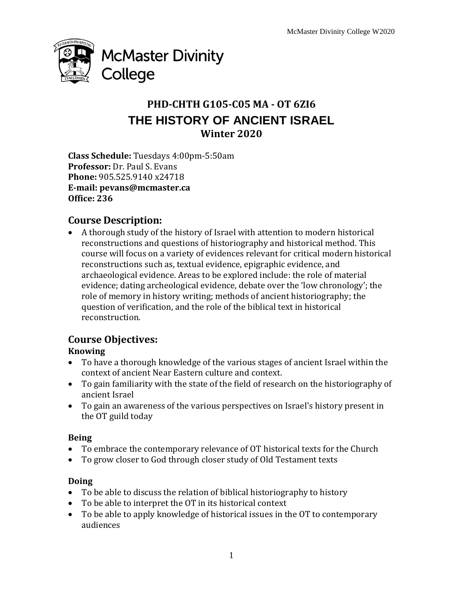

# **PHD-CHTH G105-C05 MA - OT 6ZI6 THE HISTORY OF ANCIENT ISRAEL Winter 2020**

**Class Schedule:** Tuesdays 4:00pm-5:50am **Professor:** Dr. Paul S. Evans **Phone:** 905.525.9140 x24718 **E-mail: pevans@mcmaster.ca Office: 236**

## **Course Description:**

 A thorough study of the history of Israel with attention to modern historical reconstructions and questions of historiography and historical method. This course will focus on a variety of evidences relevant for critical modern historical reconstructions such as, textual evidence, epigraphic evidence, and archaeological evidence. Areas to be explored include: the role of material evidence; dating archeological evidence, debate over the 'low chronology'; the role of memory in history writing; methods of ancient historiography; the question of verification, and the role of the biblical text in historical reconstruction.

## **Course Objectives:**

### **Knowing**

- To have a thorough knowledge of the various stages of ancient Israel within the context of ancient Near Eastern culture and context.
- To gain familiarity with the state of the field of research on the historiography of ancient Israel
- To gain an awareness of the various perspectives on Israel's history present in the OT guild today

#### **Being**

- To embrace the contemporary relevance of OT historical texts for the Church
- To grow closer to God through closer study of Old Testament texts

### **Doing**

- To be able to discuss the relation of biblical historiography to history
- To be able to interpret the OT in its historical context
- To be able to apply knowledge of historical issues in the OT to contemporary audiences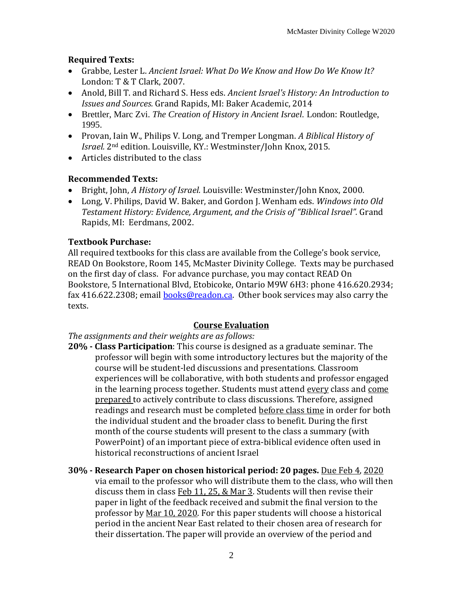#### **Required Texts:**

- Grabbe, Lester L. *Ancient Israel: What Do We Know and How Do We Know It?* London: T & T Clark, 2007.
- Anold, Bill T. and Richard S. Hess eds. *Ancient Israel's History: An Introduction to Issues and Sources.* Grand Rapids, MI: Baker Academic, 2014
- Brettler, Marc Zvi. *The Creation of History in Ancient Israel.* London: Routledge, 1995.
- Provan, Iain W., Philips V. Long, and Tremper Longman. *A Biblical History of Israel.* 2nd edition. Louisville, KY.: Westminster/John Knox, 2015.
- Articles distributed to the class

#### **Recommended Texts:**

- Bright, John, *A History of Israel.* Louisville: Westminster/John Knox, 2000.
- Long, V. Philips, David W. Baker, and Gordon J. Wenham eds. *Windows into Old Testament History: Evidence, Argument, and the Crisis of "Biblical Israel".* Grand Rapids, MI: Eerdmans, 2002.

#### **Textbook Purchase:**

All required textbooks for this class are available from the College's book service, READ On Bookstore, Room 145, McMaster Divinity College. Texts may be purchased on the first day of class. For advance purchase, you may contact READ On Bookstore, 5 International Blvd, Etobicoke, Ontario M9W 6H3: phone 416.620.2934; fax 416.622.2308; email [books@readon.ca.](mailto:books@readon.ca) Other book services may also carry the texts.

### **Course Evaluation**

*The assignments and their weights are as follows:*

- **20% - Class Participation**: This course is designed as a graduate seminar. The professor will begin with some introductory lectures but the majority of the course will be student-led discussions and presentations. Classroom experiences will be collaborative, with both students and professor engaged in the learning process together. Students must attend every class and come prepared to actively contribute to class discussions. Therefore, assigned readings and research must be completed before class time in order for both the individual student and the broader class to benefit. During the first month of the course students will present to the class a summary (with PowerPoint) of an important piece of extra-biblical evidence often used in historical reconstructions of ancient Israel
- **30% - Research Paper on chosen historical period: 20 pages.** Due Feb 4, 2020 via email to the professor who will distribute them to the class, who will then discuss them in class Feb 11, 25, & Mar 3. Students will then revise their paper in light of the feedback received and submit the final version to the professor by Mar 10, 2020. For this paper students will choose a historical period in the ancient Near East related to their chosen area of research for their dissertation. The paper will provide an overview of the period and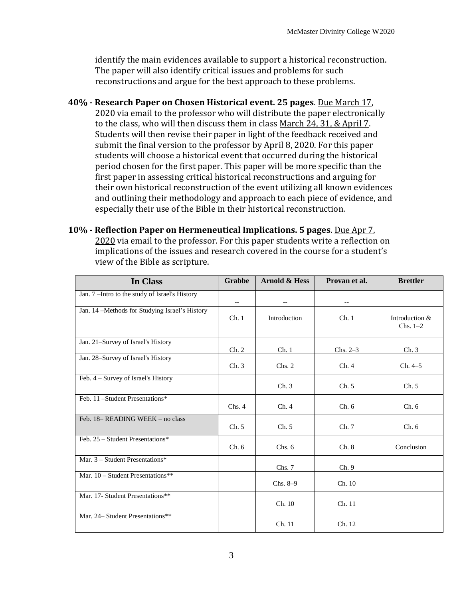identify the main evidences available to support a historical reconstruction. The paper will also identify critical issues and problems for such reconstructions and argue for the best approach to these problems.

- **40% - Research Paper on Chosen Historical event. 25 pages**. Due March 17, 2020 via email to the professor who will distribute the paper electronically to the class, who will then discuss them in class March 24, 31, & April 7. Students will then revise their paper in light of the feedback received and submit the final version to the professor by April 8, 2020. For this paper students will choose a historical event that occurred during the historical period chosen for the first paper. This paper will be more specific than the first paper in assessing critical historical reconstructions and arguing for their own historical reconstruction of the event utilizing all known evidences and outlining their methodology and approach to each piece of evidence, and especially their use of the Bible in their historical reconstruction.
- **10% - Reflection Paper on Hermeneutical Implications. 5 pages**. Due Apr 7, 2020 via email to the professor. For this paper students write a reflection on implications of the issues and research covered in the course for a student's view of the Bible as scripture.

| In Class                                       | Grabbe | <b>Arnold &amp; Hess</b> | Provan et al.            | <b>Brettler</b>              |
|------------------------------------------------|--------|--------------------------|--------------------------|------------------------------|
| Jan. 7-Intro to the study of Israel's History  | $-$    | $\overline{\phantom{m}}$ | $\overline{\phantom{a}}$ |                              |
| Jan. 14 -Methods for Studying Israel's History | Ch.1   | Introduction             | Ch.1                     | Introduction &<br>$Chs. 1-2$ |
| Jan. 21-Survey of Israel's History             | Ch. 2  | Ch.1                     | $Chs. 2-3$               | Ch.3                         |
| Jan. 28-Survey of Israel's History             | Ch.3   | Chs. 2                   | Ch.4                     | Ch. 4–5                      |
| Feb. 4 - Survey of Israel's History            |        | Ch.3                     | Ch. 5                    | Ch. 5                        |
| Feb. 11-Student Presentations*                 | Chs.4  | Ch.4                     | Ch.6                     | Ch.6                         |
| Feb. 18– READING WEEK – no class               | Ch. 5  | Ch. 5                    | Ch.7                     | Ch.6                         |
| Feb. 25 - Student Presentations*               | Ch. 6  | Chs. 6                   | Ch. 8                    | Conclusion                   |
| Mar. $3 -$ Student Presentations*              |        | Chs. 7                   | Ch. 9                    |                              |
| Mar. 10 - Student Presentations**              |        | $Chs. 8-9$               | Ch. 10                   |                              |
| Mar. 17- Student Presentations**               |        | Ch. 10                   | Ch. 11                   |                              |
| Mar. 24- Student Presentations**               |        | Ch. 11                   | Ch. 12                   |                              |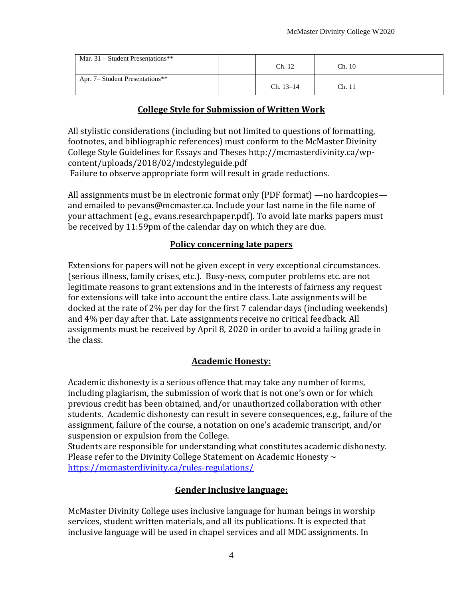| Mar. $31$ – Student Presentations** | Ch. 12      | Ch. 10 |  |
|-------------------------------------|-------------|--------|--|
| Apr. 7– Student Presentations**     | $Ch. 13-14$ | Ch. 11 |  |

#### **College Style for Submission of Written Work**

All stylistic considerations (including but not limited to questions of formatting, footnotes, and bibliographic references) must conform to the McMaster Divinity College Style Guidelines for Essays and Theses http://mcmasterdivinity.ca/wpcontent/uploads/2018/02/mdcstyleguide.pdf

Failure to observe appropriate form will result in grade reductions.

All assignments must be in electronic format only (PDF format) —no hardcopies and emailed to pevans@mcmaster.ca. Include your last name in the file name of your attachment (e.g., evans.researchpaper.pdf). To avoid late marks papers must be received by 11:59pm of the calendar day on which they are due.

#### **Policy concerning late papers**

Extensions for papers will not be given except in very exceptional circumstances. (serious illness, family crises, etc.). Busy-ness, computer problems etc. are not legitimate reasons to grant extensions and in the interests of fairness any request for extensions will take into account the entire class. Late assignments will be docked at the rate of 2% per day for the first 7 calendar days (including weekends) and 4% per day after that. Late assignments receive no critical feedback. All assignments must be received by April 8, 2020 in order to avoid a failing grade in the class.

#### **Academic Honesty:**

Academic dishonesty is a serious offence that may take any number of forms, including plagiarism, the submission of work that is not one's own or for which previous credit has been obtained, and/or unauthorized collaboration with other students. Academic dishonesty can result in severe consequences, e.g., failure of the assignment, failure of the course, a notation on one's academic transcript, and/or suspension or expulsion from the College.

Students are responsible for understanding what constitutes academic dishonesty. Please refer to the Divinity College Statement on Academic Honesty  $\sim$ <https://mcmasterdivinity.ca/rules-regulations/>

#### **Gender Inclusive language:**

McMaster Divinity College uses inclusive language for human beings in worship services, student written materials, and all its publications. It is expected that inclusive language will be used in chapel services and all MDC assignments. In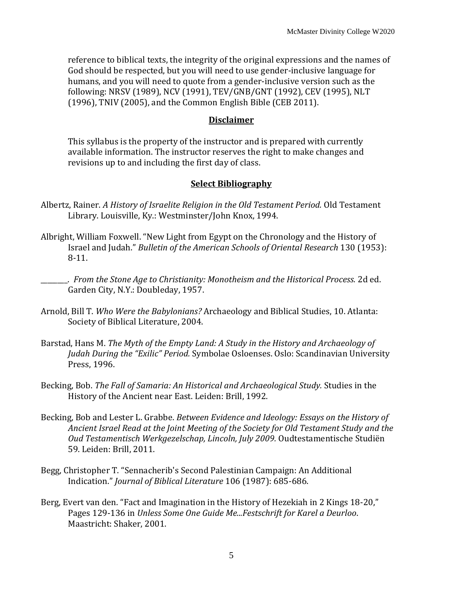reference to biblical texts, the integrity of the original expressions and the names of God should be respected, but you will need to use gender-inclusive language for humans, and you will need to quote from a gender-inclusive version such as the following: NRSV (1989), NCV (1991), TEV/GNB/GNT (1992), CEV (1995), NLT (1996), TNIV (2005), and the Common English Bible (CEB 2011).

#### **Disclaimer**

This syllabus is the property of the instructor and is prepared with currently available information. The instructor reserves the right to make changes and revisions up to and including the first day of class.

#### **Select Bibliography**

- Albertz, Rainer. *A History of Israelite Religion in the Old Testament Period.* Old Testament Library. Louisville, Ky.: Westminster/John Knox, 1994.
- Albright, William Foxwell. "New Light from Egypt on the Chronology and the History of Israel and Judah." *Bulletin of the American Schools of Oriental Research* 130 (1953): 8-11.
- \_\_\_\_\_\_\_\_. *From the Stone Age to Christianity: Monotheism and the Historical Process.* 2d ed. Garden City, N.Y.: Doubleday, 1957.
- Arnold, Bill T. *Who Were the Babylonians?* Archaeology and Biblical Studies, 10. Atlanta: Society of Biblical Literature, 2004.
- Barstad, Hans M. *The Myth of the Empty Land: A Study in the History and Archaeology of Judah During the "Exilic" Period.* Symbolae Osloenses. Oslo: Scandinavian University Press, 1996.
- Becking, Bob. *The Fall of Samaria: An Historical and Archaeological Study.* Studies in the History of the Ancient near East. Leiden: Brill, 1992.
- Becking, Bob and Lester L. Grabbe. *Between Evidence and Ideology: Essays on the History of Ancient Israel Read at the Joint Meeting of the Society for Old Testament Study and the Oud Testamentisch Werkgezelschap, Lincoln, July 2009.* Oudtestamentische Studiën 59. Leiden: Brill, 2011.
- Begg, Christopher T. "Sennacherib's Second Palestinian Campaign: An Additional Indication." *Journal of Biblical Literature* 106 (1987): 685-686.
- Berg, Evert van den. "Fact and Imagination in the History of Hezekiah in 2 Kings 18-20," Pages 129-136 in *Unless Some One Guide Me...Festschrift for Karel a Deurloo*. Maastricht: Shaker, 2001.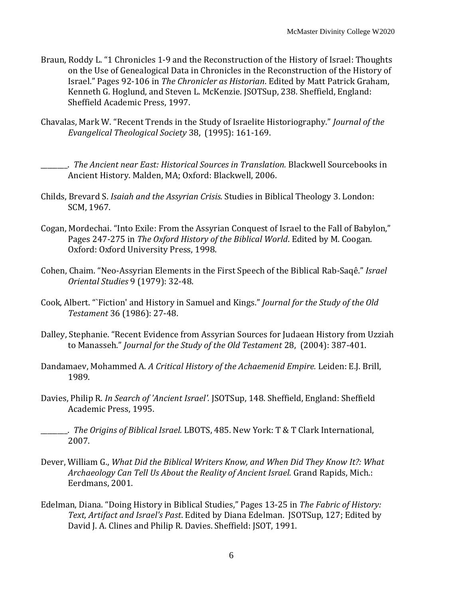- Braun, Roddy L. "1 Chronicles 1-9 and the Reconstruction of the History of Israel: Thoughts on the Use of Genealogical Data in Chronicles in the Reconstruction of the History of Israel." Pages 92-106 in *The Chronicler as Historian*. Edited by Matt Patrick Graham, Kenneth G. Hoglund, and Steven L. McKenzie. JSOTSup, 238*.* Sheffield, England: Sheffield Academic Press, 1997.
- Chavalas, Mark W. "Recent Trends in the Study of Israelite Historiography." *Journal of the Evangelical Theological Society* 38, (1995): 161-169.

\_\_\_\_\_\_\_\_. *The Ancient near East: Historical Sources in Translation.* Blackwell Sourcebooks in Ancient History. Malden, MA; Oxford: Blackwell, 2006.

- Childs, Brevard S. *Isaiah and the Assyrian Crisis.* Studies in Biblical Theology 3. London: SCM, 1967.
- Cogan, Mordechai. "Into Exile: From the Assyrian Conquest of Israel to the Fall of Babylon," Pages 247-275 in *The Oxford History of the Biblical World*. Edited by M. Coogan. Oxford: Oxford University Press, 1998.
- Cohen, Chaim. "Neo-Assyrian Elements in the First Speech of the Biblical Rab-Saqê." *Israel Oriental Studies* 9 (1979): 32-48.
- Cook, Albert. "`Fiction' and History in Samuel and Kings." *Journal for the Study of the Old Testament* 36 (1986): 27-48.
- Dalley, Stephanie. "Recent Evidence from Assyrian Sources for Judaean History from Uzziah to Manasseh." *Journal for the Study of the Old Testament* 28, (2004): 387-401.
- Dandamaev, Mohammed A. *A Critical History of the Achaemenid Empire.* Leiden: E.J. Brill, 1989.
- Davies, Philip R. *In Search of 'Ancient Israel'.* JSOTSup, 148. Sheffield, England: Sheffield Academic Press, 1995.
- \_\_\_\_\_\_\_\_. *The Origins of Biblical Israel.* LBOTS, 485. New York: T & T Clark International, 2007.
- Dever, William G., *What Did the Biblical Writers Know, and When Did They Know It?: What Archaeology Can Tell Us About the Reality of Ancient Israel.* Grand Rapids, Mich.: Eerdmans, 2001.
- Edelman, Diana. "Doing History in Biblical Studies," Pages 13-25 in *The Fabric of History: Text, Artifact and Israel's Past*. Edited by Diana Edelman. JSOTSup, 127; Edited by David J. A. Clines and Philip R. Davies. Sheffield: JSOT, 1991.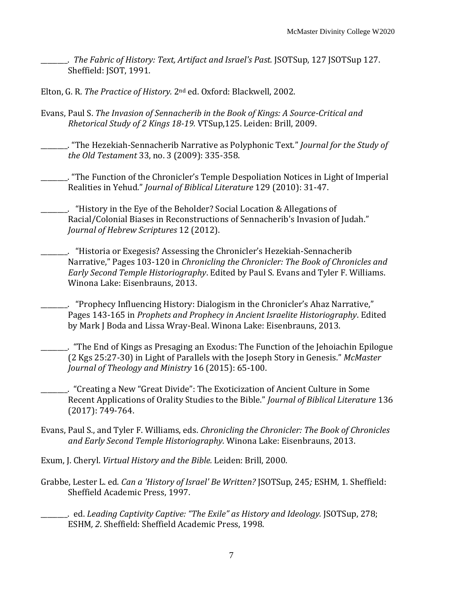\_\_\_\_\_\_\_\_. *The Fabric of History: Text, Artifact and Israel's Past.* JSOTSup, 127 JSOTSup 127. Sheffield: JSOT, 1991.

Elton, G. R. *The Practice of History.* 2nd ed. Oxford: Blackwell, 2002.

Evans, Paul S. *The Invasion of Sennacherib in the Book of Kings: A Source-Critical and Rhetorical Study of 2 Kings 18-19.* VTSup,125. Leiden: Brill, 2009.

\_\_\_\_\_\_\_\_. "The Hezekiah-Sennacherib Narrative as Polyphonic Text." *Journal for the Study of the Old Testament* 33, no. 3 (2009): 335-358.

\_\_\_\_\_\_\_\_. "The Function of the Chronicler's Temple Despoliation Notices in Light of Imperial Realities in Yehud." *Journal of Biblical Literature* 129 (2010): 31-47.

\_\_\_\_\_\_\_\_. "History in the Eye of the Beholder? Social Location & Allegations of Racial/Colonial Biases in Reconstructions of Sennacherib's Invasion of Judah." *Journal of Hebrew Scriptures* 12 (2012).

\_\_\_\_\_\_\_\_. "Historia or Exegesis? Assessing the Chronicler's Hezekiah-Sennacherib Narrative," Pages 103-120 in *Chronicling the Chronicler: The Book of Chronicles and Early Second Temple Historiography*. Edited by Paul S. Evans and Tyler F. Williams. Winona Lake: Eisenbrauns, 2013.

\_\_\_\_\_\_\_\_. "Prophecy Influencing History: Dialogism in the Chronicler's Ahaz Narrative," Pages 143-165 in *Prophets and Prophecy in Ancient Israelite Historiography*. Edited by Mark J Boda and Lissa Wray-Beal. Winona Lake: Eisenbrauns, 2013.

\_\_\_\_\_\_\_\_. "The End of Kings as Presaging an Exodus: The Function of the Jehoiachin Epilogue (2 Kgs 25:27-30) in Light of Parallels with the Joseph Story in Genesis." *McMaster Journal of Theology and Ministry* 16 (2015): 65-100.

\_\_\_\_\_\_\_\_. "Creating a New "Great Divide": The Exoticization of Ancient Culture in Some Recent Applications of Orality Studies to the Bible." *Journal of Biblical Literature* 136 (2017): 749-764.

- Evans, Paul S., and Tyler F. Williams, eds. *Chronicling the Chronicler: The Book of Chronicles and Early Second Temple Historiography.* Winona Lake: Eisenbrauns, 2013.
- Exum, J. Cheryl. *Virtual History and the Bible.* Leiden: Brill, 2000.
- Grabbe, Lester L. ed. *Can a 'History of Israel' Be Written?* JSOTSup, 245*;* ESHM*,* 1. Sheffield: Sheffield Academic Press, 1997.

\_\_\_\_\_\_\_\_. ed. *Leading Captivity Captive: "The Exile" as History and Ideology.* JSOTSup, 278; ESHM*, 2*. Sheffield: Sheffield Academic Press, 1998.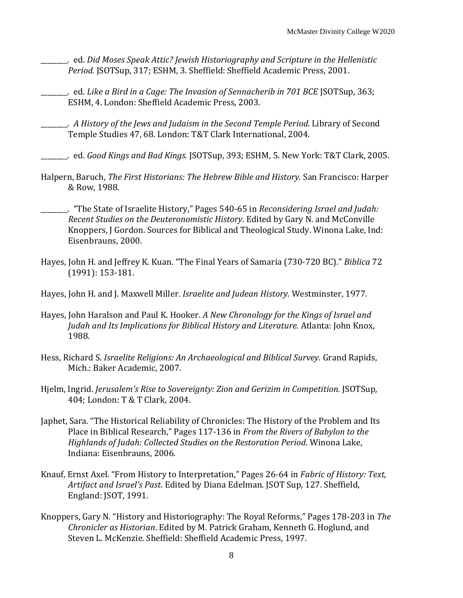- \_\_\_\_\_\_\_\_. ed. *Did Moses Speak Attic? Jewish Historiography and Scripture in the Hellenistic Period.* JSOTSup, 317; ESHM, 3. Sheffield: Sheffield Academic Press, 2001.
- \_\_\_\_\_\_\_\_. ed. *Like a Bird in a Cage: The Invasion of Sennacherib in 701 BCE* JSOTSup, 363; ESHM, 4. London: Sheffield Academic Press, 2003.
- \_\_\_\_\_\_\_\_. *A History of the Jews and Judaism in the Second Temple Period.* Library of Second Temple Studies 47, 68. London: T&T Clark International, 2004.
- \_\_\_\_\_\_\_\_. ed. *Good Kings and Bad Kings.* JSOTSup, 393; ESHM, 5. New York: T&T Clark, 2005.
- Halpern, Baruch, *The First Historians: The Hebrew Bible and History.* San Francisco: Harper & Row, 1988.
- \_\_\_\_\_\_\_\_. "The State of Israelite History," Pages 540-65 in *Reconsidering Israel and Judah: Recent Studies on the Deuteronomistic History*. Edited by Gary N. and McConville Knoppers, J Gordon. Sources for Biblical and Theological Study. Winona Lake, Ind: Eisenbrauns, 2000.
- Hayes, John H. and Jeffrey K. Kuan. "The Final Years of Samaria (730-720 BC)." *Biblica* 72 (1991): 153-181.
- Hayes, John H. and J. Maxwell Miller. *Israelite and Judean History.* Westminster, 1977.
- Hayes, John Haralson and Paul K. Hooker. *A New Chronology for the Kings of Israel and Judah and Its Implications for Biblical History and Literature.* Atlanta: John Knox, 1988.
- Hess, Richard S. *Israelite Religions: An Archaeological and Biblical Survey.* Grand Rapids, Mich.: Baker Academic, 2007.
- Hjelm, Ingrid. *Jerusalem's Rise to Sovereignty: Zion and Gerizim in Competition.* JSOTSup, 404; London: T & T Clark, 2004.
- Japhet, Sara. "The Historical Reliability of Chronicles: The History of the Problem and Its Place in Biblical Research," Pages 117-136 in *From the Rivers of Babylon to the Highlands of Judah: Collected Studies on the Restoration Period*. Winona Lake, Indiana: Eisenbrauns, 2006.
- Knauf, Ernst Axel. "From History to Interpretation," Pages 26-64 in *Fabric of History: Text, Artifact and Israel's Past*. Edited by Diana Edelman. JSOT Sup, 127. Sheffield, England: JSOT, 1991.
- Knoppers, Gary N. "History and Historiography: The Royal Reforms," Pages 178-203 in *The Chronicler as Historian*. Edited by M. Patrick Graham, Kenneth G. Hoglund, and Steven L. McKenzie. Sheffield: Sheffield Academic Press, 1997.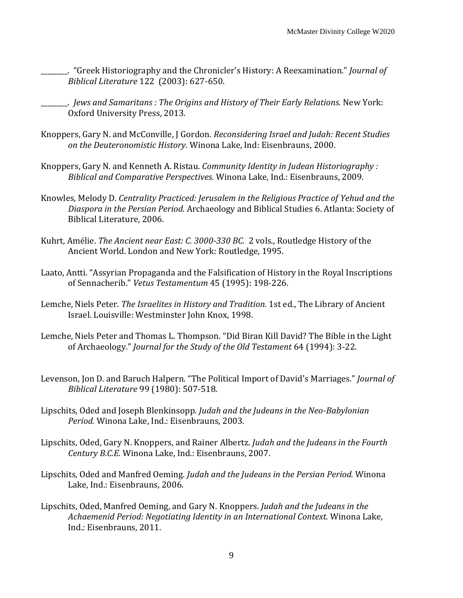\_\_\_\_\_\_\_\_. "Greek Historiography and the Chronicler's History: A Reexamination." *Journal of Biblical Literature* 122 (2003): 627-650.

\_\_\_\_\_\_\_\_. *Jews and Samaritans : The Origins and History of Their Early Relations.* New York: Oxford University Press, 2013.

- Knoppers, Gary N. and McConville, J Gordon. *Reconsidering Israel and Judah: Recent Studies on the Deuteronomistic History.* Winona Lake, Ind: Eisenbrauns, 2000.
- Knoppers, Gary N. and Kenneth A. Ristau. *Community Identity in Judean Historiography : Biblical and Comparative Perspectives.* Winona Lake, Ind.: Eisenbrauns, 2009.
- Knowles, Melody D. *Centrality Practiced: Jerusalem in the Religious Practice of Yehud and the Diaspora in the Persian Period.* Archaeology and Biblical Studies 6. Atlanta: Society of Biblical Literature, 2006.
- Kuhrt, Amélie. *The Ancient near East: C. 3000-330 BC.* 2 vols., Routledge History of the Ancient World. London and New York: Routledge, 1995.
- Laato, Antti. "Assyrian Propaganda and the Falsification of History in the Royal Inscriptions of Sennacherib." *Vetus Testamentum* 45 (1995): 198-226.
- Lemche, Niels Peter. *The Israelites in History and Tradition.* 1st ed., The Library of Ancient Israel. Louisville: Westminster John Knox, 1998.
- Lemche, Niels Peter and Thomas L. Thompson. "Did Biran Kill David? The Bible in the Light of Archaeology." *Journal for the Study of the Old Testament* 64 (1994): 3-22.
- Levenson, Jon D. and Baruch Halpern. "The Political Import of David's Marriages." *Journal of Biblical Literature* 99 (1980): 507-518.
- Lipschits, Oded and Joseph Blenkinsopp. *Judah and the Judeans in the Neo-Babylonian Period.* Winona Lake, Ind.: Eisenbrauns, 2003.
- Lipschits, Oded, Gary N. Knoppers, and Rainer Albertz. *Judah and the Judeans in the Fourth Century B.C.E.* Winona Lake, Ind.: Eisenbrauns, 2007.
- Lipschits, Oded and Manfred Oeming. *Judah and the Judeans in the Persian Period.* Winona Lake, Ind.: Eisenbrauns, 2006.
- Lipschits, Oded, Manfred Oeming, and Gary N. Knoppers. *Judah and the Judeans in the Achaemenid Period: Negotiating Identity in an International Context.* Winona Lake, Ind.: Eisenbrauns, 2011.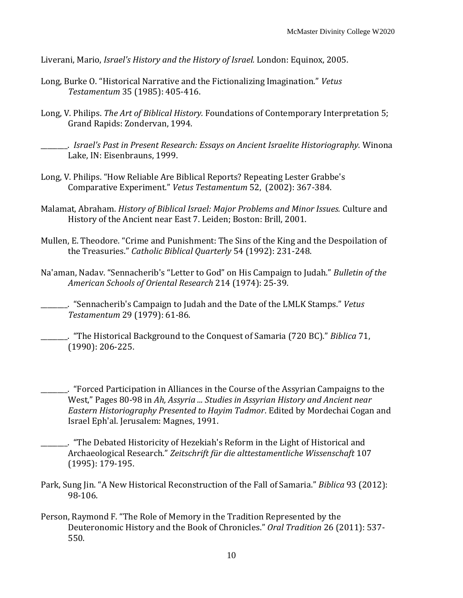Liverani, Mario, *Israel's History and the History of Israel.* London: Equinox, 2005.

- Long, Burke O. "Historical Narrative and the Fictionalizing Imagination." *Vetus Testamentum* 35 (1985): 405-416.
- Long, V. Philips. *The Art of Biblical History.* Foundations of Contemporary Interpretation 5; Grand Rapids: Zondervan, 1994.
- \_\_\_\_\_\_\_\_. *Israel's Past in Present Research: Essays on Ancient Israelite Historiography.* Winona Lake, IN: Eisenbrauns, 1999.
- Long, V. Philips. "How Reliable Are Biblical Reports? Repeating Lester Grabbe's Comparative Experiment." *Vetus Testamentum* 52, (2002): 367-384.
- Malamat, Abraham. *History of Biblical Israel: Major Problems and Minor Issues.* Culture and History of the Ancient near East 7. Leiden; Boston: Brill, 2001.
- Mullen, E. Theodore. "Crime and Punishment: The Sins of the King and the Despoilation of the Treasuries." *Catholic Biblical Quarterly* 54 (1992): 231-248.
- Na'aman, Nadav. "Sennacherib's "Letter to God" on His Campaign to Judah." *Bulletin of the American Schools of Oriental Research* 214 (1974): 25-39.

- \_\_\_\_\_\_\_\_. "The Historical Background to the Conquest of Samaria (720 BC)." *Biblica* 71, (1990): 206-225.
- \_\_\_\_\_\_\_\_. "Forced Participation in Alliances in the Course of the Assyrian Campaigns to the West," Pages 80-98 in *Ah, Assyria ... Studies in Assyrian History and Ancient near Eastern Historiography Presented to Hayim Tadmor*. Edited by Mordechai Cogan and Israel Eph'al. Jerusalem: Magnes, 1991.
- \_\_\_\_\_\_\_\_. "The Debated Historicity of Hezekiah's Reform in the Light of Historical and Archaeological Research." *Zeitschrift für die alttestamentliche Wissenschaft* 107 (1995): 179-195.
- Park, Sung Jin. "A New Historical Reconstruction of the Fall of Samaria." *Biblica* 93 (2012): 98-106.
- Person, Raymond F. "The Role of Memory in the Tradition Represented by the Deuteronomic History and the Book of Chronicles." *Oral Tradition* 26 (2011): 537- 550.

\_\_\_\_\_\_\_\_. "Sennacherib's Campaign to Judah and the Date of the LMLK Stamps." *Vetus Testamentum* 29 (1979): 61-86.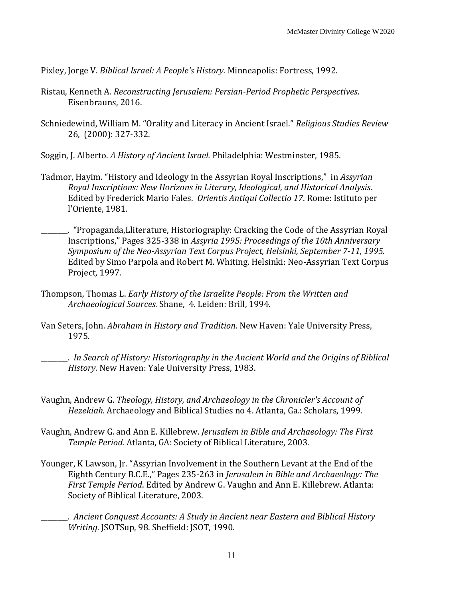Pixley, Jorge V. *Biblical Israel: A People's History.* Minneapolis: Fortress, 1992.

- Ristau, Kenneth A. *Reconstructing Jerusalem: Persian-Period Prophetic Perspectives*. Eisenbrauns, 2016.
- Schniedewind, William M. "Orality and Literacy in Ancient Israel." *Religious Studies Review* 26, (2000): 327-332.
- Soggin, J. Alberto. *A History of Ancient Israel.* Philadelphia: Westminster, 1985.
- Tadmor, Hayim. "History and Ideology in the Assyrian Royal Inscriptions," in *Assyrian Royal Inscriptions: New Horizons in Literary, Ideological, and Historical Analysis*. Edited by Frederick Mario Fales. *Orientis Antiqui Collectio 17*. Rome: Istituto per l'Oriente, 1981.

\_\_\_\_\_\_\_\_. "Propaganda,Lliterature, Historiography: Cracking the Code of the Assyrian Royal Inscriptions," Pages 325-338 in *Assyria 1995: Proceedings of the 10th Anniversary Symposium of the Neo-Assyrian Text Corpus Project, Helsinki, September 7-11, 1995.* Edited by Simo Parpola and Robert M. Whiting. Helsinki: Neo-Assyrian Text Corpus Project, 1997.

- Thompson, Thomas L. *Early History of the Israelite People: From the Written and Archaeological Sources.* Shane, 4. Leiden: Brill, 1994.
- Van Seters, John. *Abraham in History and Tradition.* New Haven: Yale University Press, 1975.

\_\_\_\_\_\_\_\_. *In Search of History: Historiography in the Ancient World and the Origins of Biblical History.* New Haven: Yale University Press, 1983.

- Vaughn, Andrew G. *Theology, History, and Archaeology in the Chronicler's Account of Hezekiah.* Archaeology and Biblical Studies no 4. Atlanta, Ga.: Scholars, 1999.
- Vaughn, Andrew G. and Ann E. Killebrew. *Jerusalem in Bible and Archaeology: The First Temple Period.* Atlanta, GA: Society of Biblical Literature, 2003.
- Younger, K Lawson, Jr. "Assyrian Involvement in the Southern Levant at the End of the Eighth Century B.C.E.," Pages 235-263 in *Jerusalem in Bible and Archaeology: The First Temple Period*. Edited by Andrew G. Vaughn and Ann E. Killebrew. Atlanta: Society of Biblical Literature, 2003.
	- \_\_\_\_\_\_\_\_. *Ancient Conquest Accounts: A Study in Ancient near Eastern and Biblical History Writing.* JSOTSup, 98. Sheffield: JSOT, 1990.